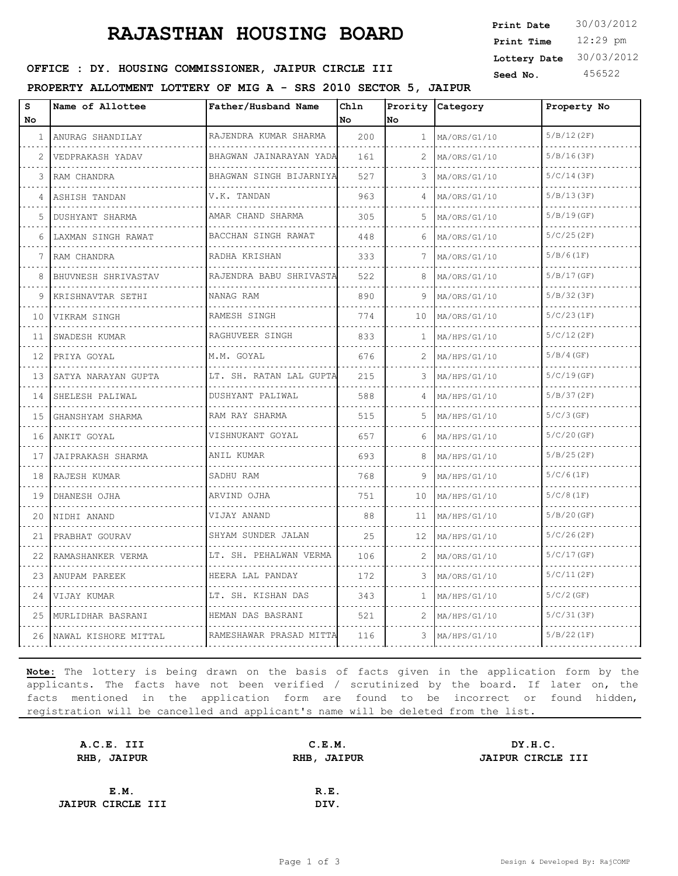# **RAJASTHAN HOUSING BOARD**

12:29 pm **Print Time Print Date**  $30/03/2012$ **Lottery Date** 30/03/2012

### **SEED OFFICE : DY. HOUSING COMMISSIONER, JAIPUR CIRCLE III** Seed No. 456522

**PROPERTY ALLOTMENT LOTTERY OF MIG A - SRS 2010 SECTOR 5, JAIPUR**

| s<br>No | Name of Allottee       | Father/Husband Name                  | Chln<br>l No | Prority<br>No | Category            | Property No   |
|---------|------------------------|--------------------------------------|--------------|---------------|---------------------|---------------|
| 1       | ANURAG SHANDILAY       | RAJENDRA KUMAR SHARMA                | 200          | $\mathbf{1}$  | MA/ORS/G1/10        | 5/B/12(2F)    |
| 2       | .<br>VEDPRAKASH YADAV  | BHAGWAN JAINARAYAN YADA              | 161          | 2             | MA/ORS/G1/10        | 5/B/16(3F)    |
| 3       | .<br> RAM CHANDRA      | .<br>BHAGWAN SINGH BIJARNIYA         | 527          | 3.            | MA/ORS/G1/10        | 5/C/14(3F)    |
| 4       | ASHISH TANDAN          | V.K. TANDAN                          | 963          | 4             | MA/ORS/G1/10        | 5/B/13(3F)    |
| 5.      | .<br>DUSHYANT SHARMA   | .<br>AMAR CHAND SHARMA               | 305          | 5.            | MA/ORS/G1/10        | 5/B/19(GF)    |
| 6       | LAXMAN SINGH RAWAT     | BACCHAN SINGH RAWAT                  | 448          | 6             | MA/ORS/G1/10        | 5/C/25(2F)    |
| 7       | RAM CHANDRA            | RADHA KRISHAN                        | 333          | 7             | MA/ORS/G1/10        | 5/B/6(1F)     |
| 8       | BHUVNESH SHRIVASTAV    | .<br>RAJENDRA BABU SHRIVASTA         | 522          | 8             | MA/ORS/G1/10        | 5/B/17(GF)    |
| 9       | KRISHNAVTAR SETHI      | NANAG RAM                            | 890          | 9             | MA/ORS/G1/10        | 5/B/32(3F)    |
| 10      | VIKRAM SINGH           | RAMESH SINGH                         | 774          | 10            | MA/ORS/G1/10        | 5/C/23(1F)    |
| 11      | .<br>SWADESH KUMAR     | is see see see se<br>RAGHUVEER SINGH | 833          | $\mathbf{1}$  | MA/HPS/G1/10        | 5/C/12(2F)    |
| 12      | PRIYA GOYAL            | M.M. GOYAL                           | 676          |               | MA/HPS/G1/10        | 5/B/4(GF)     |
| 13      | SATYA NARAYAN GUPTA    | LT. SH. RATAN LAL GUPTA              | 215          | 3.            | $M_A/$ HPS/G $1/10$ | 5/C/19(GF)    |
| 14      | SHELESH PALIWAL        | DUSHYANT PALIWAL<br>.                | 588          | 4             | MA/HPS/G1/10        | 5/B/37(2F)    |
| 15      | .<br>GHANSHYAM SHARMA  | RAM RAY SHARMA                       | 515          | 5             | MA/HPS/G1/10        | 5/C/3(GF)     |
| 16      | ANKIT GOYAL            | VISHNUKANT GOYAL                     | 657          | 6             | MA/HPS/G1/10        | 5/C/20(GF)    |
| 17      | JAIPRAKASH SHARMA      | ANIL KUMAR                           | 693          | 8             | MA/HPS/G1/10        | 5/B/25(2F)    |
| 18      | RAJESH KUMAR           | SADHU RAM                            | 768          | 9             | MA/HPS/G1/10        | 5/C/6(1F)     |
| 19      | DHANESH OJHA           | ARVIND OJHA                          | 751          | 10            | MA/HPS/G1/10        | 5/C/8(1F)     |
| 20      | NIDHI ANAND            | VIJAY ANAND                          | 88           | 11            | MA/HPS/G1/10        | $5/B/20$ (GF) |
| 21      | PRABHAT GOURAV         | SHYAM SUNDER JALAN                   | 25           | 12            | MA/HPS/G1/10        | 5/C/26(2F)    |
| 22      | RAMASHANKER VERMA<br>. | LT. SH. PEHALWAN VERMA               | 106          | 2             | MA/ORS/G1/10        | 5/C/17(GF)    |
| 23      | ANUPAM PAREEK          | HEERA LAL PANDAY<br>.                | 172          | 3             | MA/ORS/G1/10        | 5/C/11(2F)    |
| 24      | VIJAY KUMAR            | LT. SH. KISHAN DAS                   | 343          | 1             | MA/HPS/G1/10        | $5/C/2$ (GF)  |
| 25      | MURLIDHAR BASRANI      | HEMAN DAS BASRANI                    | 521          | 2             | MA/HPS/G1/10        | 5/C/31(3F)    |
| 26      | NAWAL KISHORE MITTAL   | RAMESHAWAR PRASAD MITTA              | 116          | 3             | MA/HPS/G1/10        | 5/B/22(1F)    |

**Note:** The lottery is being drawn on the basis of facts given in the application form by the applicants. The facts have not been verified / scrutinized by the board. If later on, the facts mentioned in the application form are found to be incorrect or found hidden, registration will be cancelled and applicant's name will be deleted from the list.

| C.E.M.             | DY.H.C.           |
|--------------------|-------------------|
| <b>RHB, JAIPUR</b> | JAIPUR CIRCLE III |
|                    |                   |
| R.E.               |                   |
| DIV.               |                   |
|                    |                   |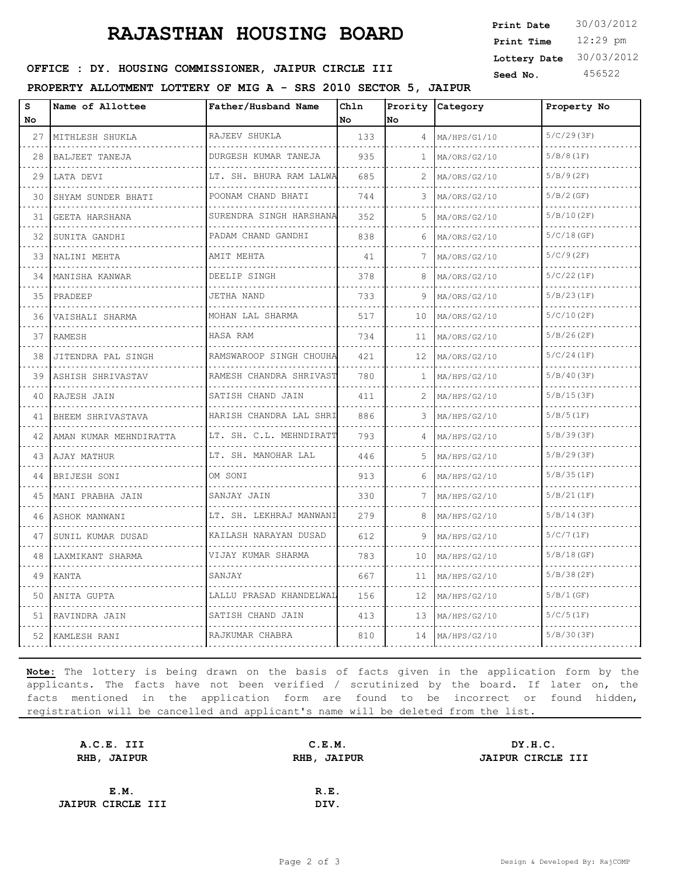# **RAJASTHAN HOUSING BOARD**

12:29 pm **Print Time Print Date**  $30/03/2012$ **Lottery Date** 30/03/2012

### **SEED OFFICE : DY. HOUSING COMMISSIONER, JAIPUR CIRCLE III** Seed No. 456522

**PROPERTY ALLOTMENT LOTTERY OF MIG A - SRS 2010 SECTOR 5, JAIPUR**

| S<br>No | Name of Allottee       | Father/Husband Name               | Chln<br>No | Prority<br>No | Category          | Property No  |
|---------|------------------------|-----------------------------------|------------|---------------|-------------------|--------------|
| 27      | MITHLESH SHUKLA<br>.   | RAJEEV SHUKLA<br>.                | 133        | 4             | MA/HPS/G1/10      | 5/C/29(3F)   |
| 28      | BALJEET TANEJA         | DURGESH KUMAR TANEJA              | 935        | $\mathbf{1}$  | .<br>MA/ORS/G2/10 | 5/B/8(1F)    |
| 29      | LATA DEVI              | .<br>LT. SH. BHURA RAM LALWA      | 685        | 2             | MA/ORS/G2/10      | 5/B/9(2F)    |
| 30      | SHYAM SUNDER BHATI     | POONAM CHAND BHATI                | 744        | 3             | MA/ORS/G2/10      | 5/B/2(GF)    |
| 31      | GEETA HARSHANA         | .<br>SURENDRA SINGH HARSHANA      | 352        | 5             | MA/ORS/G2/10      | 5/B/10(2F)   |
| 32      | SUNITA GANDHI          | <u>.</u><br>PADAM CHAND GANDHI    | 838        | 6             | MA/ORS/G2/10      | 5/C/18(GF)   |
| 33      | NALINI MEHTA           | AMIT MEHTA                        | 41         | 7             | MA/ORS/G2/10      | $5/C/9$ (2F) |
| 34      | MANISHA KANWAR         | .<br>DEELIP SINGH                 | 378        | 8             | MA/ORS/G2/10      | 5/C/22(1F)   |
| 35      | PRADEEP                | JETHA NAND                        | 733        | 9             | MA/ORS/G2/10      | 5/B/23(1F)   |
| 36      | VAISHALI SHARMA        | MOHAN LAL SHARMA                  | 517        | 10            | MA/ORS/G2/10      | 5/C/10(2F)   |
| 37      | RAMESH                 | HASA RAM                          | 734        | 11            | MA/ORS/G2/10      | 5/B/26(2F)   |
| 38      | JITENDRA PAL SINGH     | RAMSWAROOP SINGH CHOUHA           | 421        | 12            | MA/ORS/G2/10      | 5/C/24(1F)   |
| 39      | ASHISH SHRIVASTAV      | RAMESH CHANDRA SHRIVAST<br>.      | 780        | 1.            | MA/HPS/G2/10<br>. | 5/B/40(3F)   |
| 40      | RAJESH JAIN            | SATISH CHAND JAIN                 | 411        | 2             | MA/HPS/G2/10      | 5/B/15(3F)   |
| 41      | BHEEM SHRIVASTAVA      | .<br>HARISH CHANDRA LAL SHRI      | 886        | 3             | MA/HPS/G2/10      | 5/B/5(1F)    |
| 42      | AMAN KUMAR MEHNDIRATTA | LT. SH. C.L. MEHNDIRATT           | 793        |               | MA/HPS/G2/10      | 5/B/39(3F)   |
| 43      | AJAY MATHUR            | LT. SH. MANOHAR LAL               | 446        | 5.            | MA/HPS/G2/10      | 5/B/29(3F)   |
| 44      | BRIJESH SONI           | OM SONI                           | 913        | 6             | MA/HPS/G2/10      | 5/B/35(1F)   |
| 45      | MANI PRABHA JAIN       | SANJAY JAIN                       | 330        | 7             | MA/HPS/G2/10      | 5/B/21(1F)   |
| 46      | ASHOK MANWANI          | .<br>LT. SH. LEKHRAJ MANWANI<br>. | 279        | 8             | MA/HPS/G2/10      | 5/B/14(3F)   |
| 47      | SUNIL KUMAR DUSAD      | KAILASH NARAYAN DUSAD             | 612        | 9             | MA/HPS/G2/10      | 5/C/7(1F)    |
| 48      | LAXMIKANT SHARMA       | VIJAY KUMAR SHARMA                | 783        | 10            | MA/HPS/G2/10      | 5/B/18(GF)   |
| 49      | KANTA                  | SANJAY                            | 667        | 11            | MA/HPS/G2/10      | 5/B/38(2F)   |
| 50      | ANITA GUPTA            | LALLU PRASAD KHANDELWAL           | 156        | 12            | MA/HPS/G2/10      | 5/B/1(GF)    |
| 51      | RAVINDRA JAIN          | SATISH CHAND JAIN                 | 413        | 13            | MA/HPS/G2/10      | 5/C/5(1F)    |
| 52      | KAMLESH RANI           | .<br>RAJKUMAR CHABRA              | 810        | 14            | MA/HPS/G2/10      | 5/B/30(3F)   |

**Note:** The lottery is being drawn on the basis of facts given in the application form by the applicants. The facts have not been verified / scrutinized by the board. If later on, the facts mentioned in the application form are found to be incorrect or found hidden, registration will be cancelled and applicant's name will be deleted from the list.

| C.E.M.      | DY.H.C.           |
|-------------|-------------------|
| RHB, JAIPUR | JAIPUR CIRCLE III |
|             |                   |
| R.E.        |                   |
| DIV.        |                   |
|             |                   |